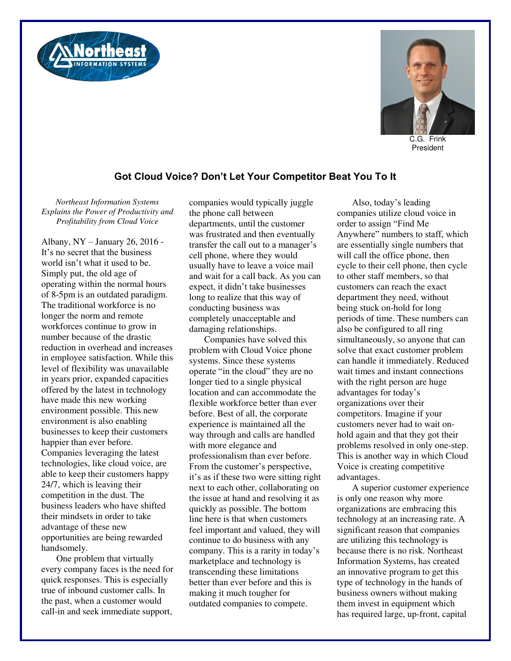



C.G. Frink President

## **Got Cloud Voice? Don't Let Your Competitor Beat You To It**

*Northeast Information Systems Explains the Power of Productivity and Profitability from Cloud Voice* 

Albany, NY – January 26, 2016 - It's no secret that the business world isn't what it used to be. Simply put, the old age of operating within the normal hours of 8-5pm is an outdated paradigm. The traditional workforce is no longer the norm and remote workforces continue to grow in number because of the drastic reduction in overhead and increases in employee satisfaction. While this level of flexibility was unavailable in years prior, expanded capacities offered by the latest in technology have made this new working environment possible. This new environment is also enabling businesses to keep their customers happier than ever before. Companies leveraging the latest technologies, like cloud voice, are able to keep their customers happy 24/7, which is leaving their competition in the dust. The business leaders who have shifted their mindsets in order to take advantage of these new opportunities are being rewarded handsomely.

One problem that virtually every company faces is the need for quick responses. This is especially true of inbound customer calls. In the past, when a customer would call-in and seek immediate support,

companies would typically juggle the phone call between departments, until the customer was frustrated and then eventually transfer the call out to a manager's cell phone, where they would usually have to leave a voice mail and wait for a call back. As you can expect, it didn't take businesses long to realize that this way of conducting business was completely unacceptable and damaging relationships.

Companies have solved this problem with Cloud Voice phone systems. Since these systems operate "in the cloud" they are no longer tied to a single physical location and can accommodate the flexible workforce better than ever before. Best of all, the corporate experience is maintained all the way through and calls are handled with more elegance and professionalism than ever before. From the customer's perspective, it's as if these two were sitting right next to each other, collaborating on the issue at hand and resolving it as quickly as possible. The bottom line here is that when customers feel important and valued, they will continue to do business with any company. This is a rarity in today's marketplace and technology is transcending these limitations better than ever before and this is making it much tougher for outdated companies to compete.

Also, today's leading companies utilize cloud voice in order to assign "Find Me Anywhere" numbers to staff, which are essentially single numbers that will call the office phone, then cycle to their cell phone, then cycle to other staff members, so that customers can reach the exact department they need, without being stuck on-hold for long periods of time. These numbers can also be configured to all ring simultaneously, so anyone that can solve that exact customer problem can handle it immediately. Reduced wait times and instant connections with the right person are huge advantages for today's organizations over their competitors. Imagine if your customers never had to wait onhold again and that they got their problems resolved in only one-step. This is another way in which Cloud Voice is creating competitive advantages.

A superior customer experience is only one reason why more organizations are embracing this technology at an increasing rate. A significant reason that companies are utilizing this technology is because there is no risk. Northeast Information Systems, has created an innovative program to get this type of technology in the hands of business owners without making them invest in equipment which has required large, up-front, capital